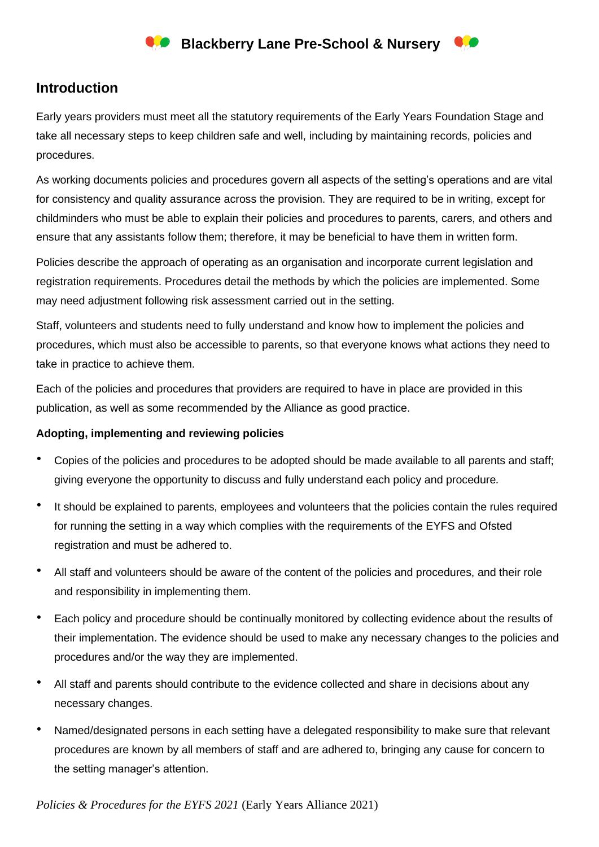## **Introduction**

Early years providers must meet all the statutory requirements of the Early Years Foundation Stage and take all necessary steps to keep children safe and well, including by maintaining records, policies and procedures.

As working documents policies and procedures govern all aspects of the setting's operations and are vital for consistency and quality assurance across the provision. They are required to be in writing, except for childminders who must be able to explain their policies and procedures to parents, carers, and others and ensure that any assistants follow them; therefore, it may be beneficial to have them in written form.

Policies describe the approach of operating as an organisation and incorporate current legislation and registration requirements. Procedures detail the methods by which the policies are implemented. Some may need adjustment following risk assessment carried out in the setting.

Staff, volunteers and students need to fully understand and know how to implement the policies and procedures, which must also be accessible to parents, so that everyone knows what actions they need to take in practice to achieve them.

Each of the policies and procedures that providers are required to have in place are provided in this publication, as well as some recommended by the Alliance as good practice.

### **Adopting, implementing and reviewing policies**

- Copies of the policies and procedures to be adopted should be made available to all parents and staff; giving everyone the opportunity to discuss and fully understand each policy and procedure*.*
- It should be explained to parents, employees and volunteers that the policies contain the rules required for running the setting in a way which complies with the requirements of the EYFS and Ofsted registration and must be adhered to.
- All staff and volunteers should be aware of the content of the policies and procedures, and their role and responsibility in implementing them.
- Each policy and procedure should be continually monitored by collecting evidence about the results of their implementation. The evidence should be used to make any necessary changes to the policies and procedures and/or the way they are implemented.
- All staff and parents should contribute to the evidence collected and share in decisions about any necessary changes.
- Named/designated persons in each setting have a delegated responsibility to make sure that relevant procedures are known by all members of staff and are adhered to, bringing any cause for concern to the setting manager's attention.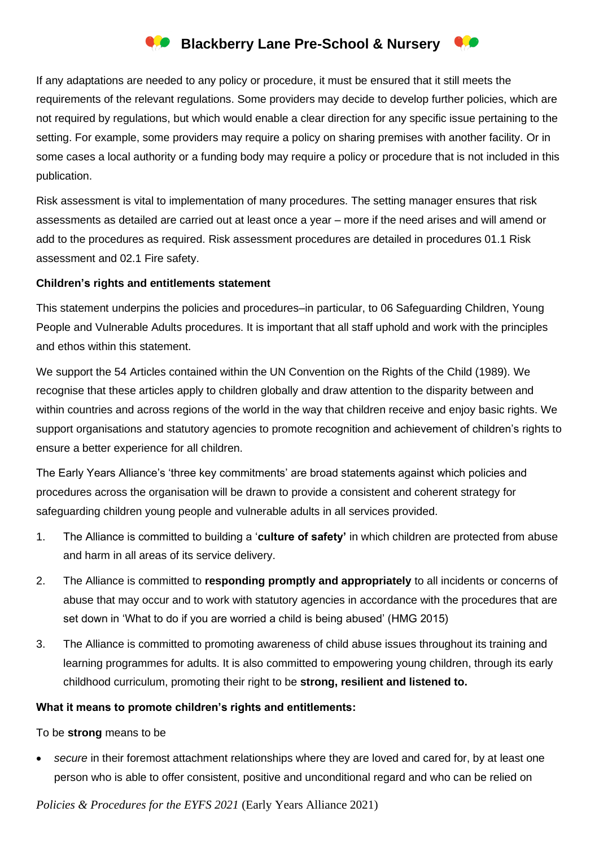## **Blackberry Lane Pre-School & Nursery**

If any adaptations are needed to any policy or procedure, it must be ensured that it still meets the requirements of the relevant regulations. Some providers may decide to develop further policies, which are not required by regulations, but which would enable a clear direction for any specific issue pertaining to the setting. For example, some providers may require a policy on sharing premises with another facility. Or in some cases a local authority or a funding body may require a policy or procedure that is not included in this publication.

Risk assessment is vital to implementation of many procedures. The setting manager ensures that risk assessments as detailed are carried out at least once a year – more if the need arises and will amend or add to the procedures as required. Risk assessment procedures are detailed in procedures 01.1 Risk assessment and 02.1 Fire safety.

#### **Children's rights and entitlements statement**

This statement underpins the policies and procedures–in particular, to 06 Safeguarding Children, Young People and Vulnerable Adults procedures. It is important that all staff uphold and work with the principles and ethos within this statement.

We support the 54 Articles contained within the UN Convention on the Rights of the Child (1989). We recognise that these articles apply to children globally and draw attention to the disparity between and within countries and across regions of the world in the way that children receive and enjoy basic rights. We support organisations and statutory agencies to promote recognition and achievement of children's rights to ensure a better experience for all children.

The Early Years Alliance's 'three key commitments' are broad statements against which policies and procedures across the organisation will be drawn to provide a consistent and coherent strategy for safeguarding children young people and vulnerable adults in all services provided.

- 1. The Alliance is committed to building a '**culture of safety'** in which children are protected from abuse and harm in all areas of its service delivery.
- 2. The Alliance is committed to **responding promptly and appropriately** to all incidents or concerns of abuse that may occur and to work with statutory agencies in accordance with the procedures that are set down in 'What to do if you are worried a child is being abused' (HMG 2015)
- 3. The Alliance is committed to promoting awareness of child abuse issues throughout its training and learning programmes for adults. It is also committed to empowering young children, through its early childhood curriculum, promoting their right to be **strong, resilient and listened to.**

#### **What it means to promote children's rights and entitlements:**

To be **strong** means to be

secure in their foremost attachment relationships where they are loved and cared for, by at least one person who is able to offer consistent, positive and unconditional regard and who can be relied on

*Policies & Procedures for the EYFS 2021* (Early Years Alliance 2021)